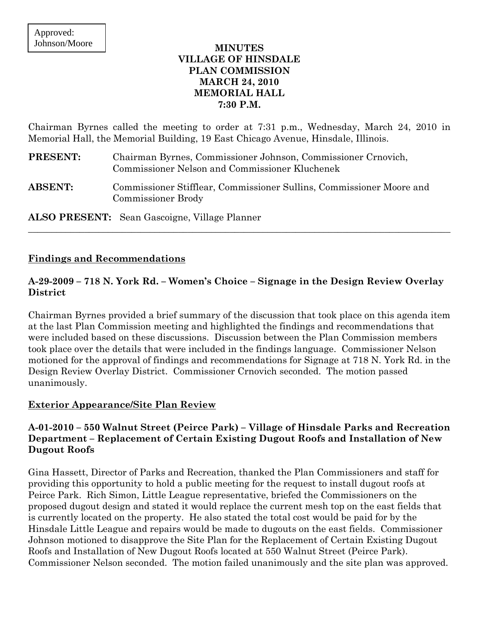## **MINUTES VILLAGE OF HINSDALE PLAN COMMISSION MARCH 24, 2010 MEMORIAL HALL 7:30 P.M.**

Chairman Byrnes called the meeting to order at 7:31 p.m., Wednesday, March 24, 2010 in Memorial Hall, the Memorial Building, 19 East Chicago Avenue, Hinsdale, Illinois.

| PRESENT:       | Chairman Byrnes, Commissioner Johnson, Commissioner Crnovich,<br><b>Commissioner Nelson and Commissioner Kluchenek</b> |
|----------------|------------------------------------------------------------------------------------------------------------------------|
| <b>ABSENT:</b> | Commissioner Stifflear, Commissioner Sullins, Commissioner Moore and<br><b>Commissioner Brody</b>                      |
|                | <b>ALSO PRESENT:</b> Sean Gascoigne, Village Planner                                                                   |

## **Findings and Recommendations**

# **A-29-2009 – 718 N. York Rd. – Women's Choice – Signage in the Design Review Overlay District**

 $\_$  , and the set of the set of the set of the set of the set of the set of the set of the set of the set of the set of the set of the set of the set of the set of the set of the set of the set of the set of the set of th

Chairman Byrnes provided a brief summary of the discussion that took place on this agenda item at the last Plan Commission meeting and highlighted the findings and recommendations that were included based on these discussions. Discussion between the Plan Commission members took place over the details that were included in the findings language. Commissioner Nelson motioned for the approval of findings and recommendations for Signage at 718 N. York Rd. in the Design Review Overlay District. Commissioner Crnovich seconded. The motion passed unanimously.

#### **Exterior Appearance/Site Plan Review**

# **A-01-2010 – 550 Walnut Street (Peirce Park) – Village of Hinsdale Parks and Recreation Department – Replacement of Certain Existing Dugout Roofs and Installation of New Dugout Roofs**

Gina Hassett, Director of Parks and Recreation, thanked the Plan Commissioners and staff for providing this opportunity to hold a public meeting for the request to install dugout roofs at Peirce Park. Rich Simon, Little League representative, briefed the Commissioners on the proposed dugout design and stated it would replace the current mesh top on the east fields that is currently located on the property. He also stated the total cost would be paid for by the Hinsdale Little League and repairs would be made to dugouts on the east fields. Commissioner Johnson motioned to disapprove the Site Plan for the Replacement of Certain Existing Dugout Roofs and Installation of New Dugout Roofs located at 550 Walnut Street (Peirce Park). Commissioner Nelson seconded. The motion failed unanimously and the site plan was approved.